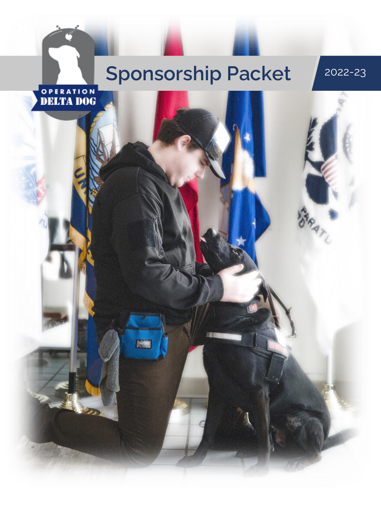# Sponsorship Packet 2022-23

**ISTE** 

OPERATION<br>**DELTA DOG** 

RATU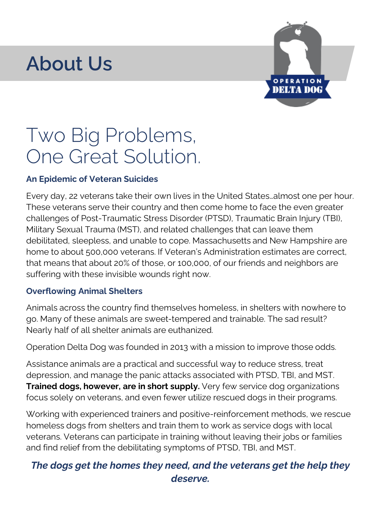### **About Us**



### Two Big Problems, One Great Solution.

#### **An Epidemic of Veteran Suicides**

Every day, 22 veterans take their own lives in the United States…almost one per hour. These veterans serve their country and then come home to face the even greater challenges of Post-Traumatic Stress Disorder (PTSD), Traumatic Brain Injury (TBI), Military Sexual Trauma (MST), and related challenges that can leave them debilitated, sleepless, and unable to cope. Massachusetts and New Hampshire are home to about 500,000 veterans. If Veteran's Administration estimates are correct, that means that about 20% of those, or 100,000, of our friends and neighbors are suffering with these invisible wounds right now.

#### **Overflowing Animal Shelters**

Animals across the country find themselves homeless, in shelters with nowhere to go. Many of these animals are sweet-tempered and trainable. The sad result? Nearly half of all shelter animals are euthanized.

Operation Delta Dog was founded in 2013 with a mission to improve those odds.

Assistance animals are a practical and successful way to reduce stress, treat depression, and manage the panic attacks associated with PTSD, TBI, and MST. **Trained dogs, however, are in short supply.** Very few service dog organizations focus solely on veterans, and even fewer utilize rescued dogs in their programs.

Working with experienced trainers and positive-reinforcement methods, we rescue homeless dogs from shelters and train them to work as service dogs with local veterans. Veterans can participate in training without leaving their jobs or families and find relief from the debilitating symptoms of PTSD, TBI, and MST.

### *The dogs get the homes they need, and the veterans get the help they deserve.*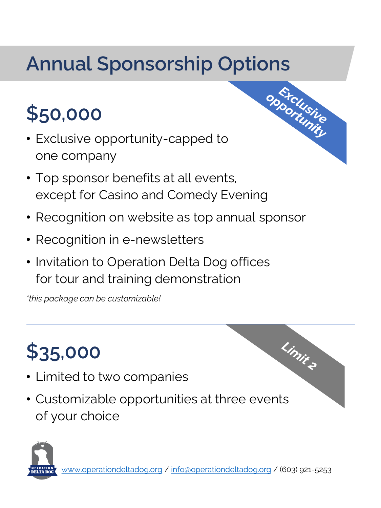# **\$50,000**

- Exclusive opportunity-capped to one company
- Top sponsor benefits at all events, except for Casino and Comedy Evening
- Recognition on website as top annual sponsor
- Recognition in e-newsletters
- Invitation to Operation Delta Dog offices for tour and training demonstration

*\*this package can be customizable!*

# **\$35,000**

- Limited to two companies
- Customizable opportunities at three events of your choice





Limite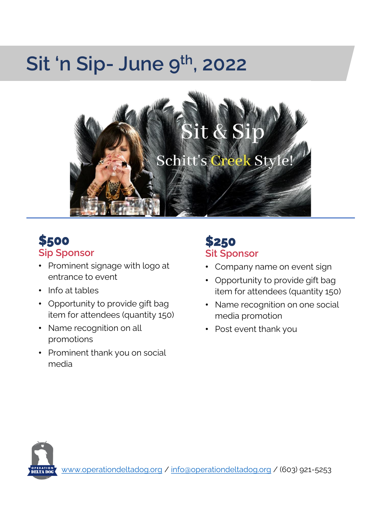### **Sit 'n Sip- June 9 th, 2022**



### **\$500 Sip Sponsor**

- Prominent signage with logo at entrance to event
- Info at tables
- Opportunity to provide gift bag item for attendees (quantity 150)
- Name recognition on all promotions
- Prominent thank you on social media

### **\$250 Sit Sponsor**

- Company name on event sign
- Opportunity to provide gift bag item for attendees (quantity 150)
- Name recognition on one social media promotion
- Post event thank you

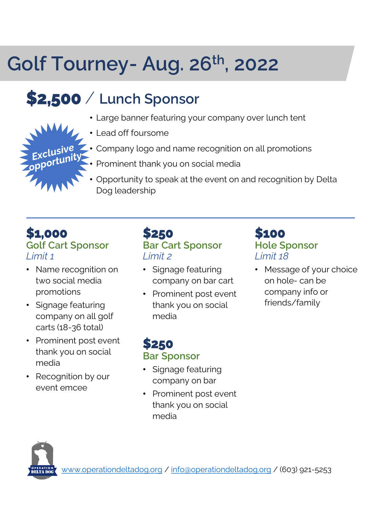## **Golf Tourney- Aug. 26th, 2022**

### **\$2,500** / **Lunch Sponsor**

- Large banner featuring your company over lunch tent
- Lead off foursome
- Company logo and name recognition on all promotions
- Prominent thank you on social media
- Opportunity to speak at the event on and recognition by Delta Dog leadership

### **\$1,000 Golf Cart Sponsor** *Limit 1*

- Name recognition on two social media promotions
- Signage featuring company on all golf carts (18-36 total)
- Prominent post event thank you on social media
- Recognition by our event emcee

#### **\$250 Bar Cart Sponsor** *Limit 2*

- Signage featuring company on bar cart
- Prominent post event thank you on social media

### **\$100 Hole Sponsor** *Limit 18*

• Message of your choice on hole- can be company info or friends/family

### **\$250 Bar Sponsor**

- Signage featuring company on bar
- Prominent post event thank you on social media



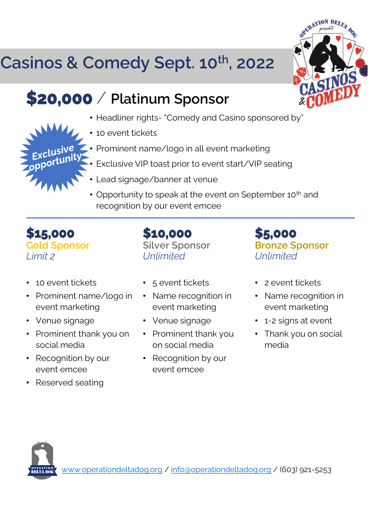### **Casinos & Comedy Sept. 10th, 2022**

### **\$20,000** / **Platinum Sponsor**

- Headliner rights- "Comedy and Casino sponsored by"
- 10 event tickets
- Prominent name/logo in all event marketing
- Exclusive VIP toast prior to event start/VIP seating
- Lead signage/banner at venue
- Opportunity to speak at the event on September 10<sup>th</sup> and recognition by our event emcee

**\$15,000 Gold Sponsor** *Limit 2*

- 10 event tickets
- Prominent name/logo in event marketing
- Venue signage
- Prominent thank you on social media
- Recognition by our event emcee
- Reserved seating

• 5 event tickets

**Silver Sponsor**

**\$10,000**

*Unlimited*

- Name recognition in event marketing
- Venue signage
- Prominent thank you on social media
- Recognition by our event emcee

**\$5,000 Bronze Sponsor** *Unlimited*

- 2 event tickets
- Name recognition in event marketing
- 1-2 signs at event
- Thank you on social media



RATION DEL